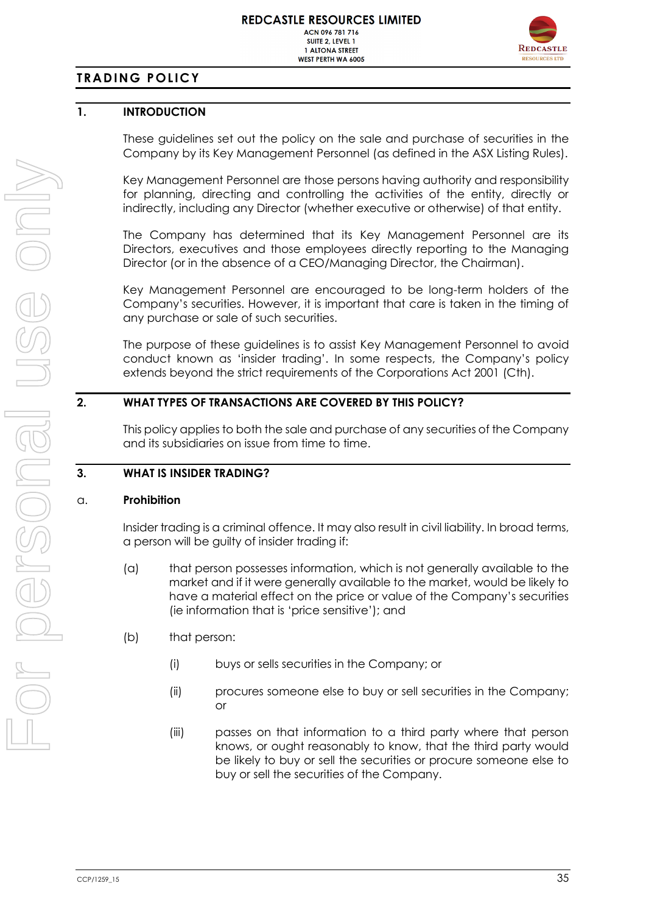

# **TRADING POLICY**

# **1. INTRODUCTION**

These guidelines set out the policy on the sale and purchase of securities in the Company by its Key Management Personnel (as defined in the ASX Listing Rules).

Key Management Personnel are those persons having authority and responsibility for planning, directing and controlling the activities of the entity, directly or indirectly, including any Director (whether executive or otherwise) of that entity.

The Company has determined that its Key Management Personnel are its Directors, executives and those employees directly reporting to the Managing Director (or in the absence of a CEO/Managing Director, the Chairman).

Key Management Personnel are encouraged to be long-term holders of the Company's securities. However, it is important that care is taken in the timing of any purchase or sale of such securities.

The purpose of these guidelines is to assist Key Management Personnel to avoid conduct known as 'insider trading'. In some respects, the Company's policy extends beyond the strict requirements of the Corporations Act 2001 (Cth).

## **2. WHAT TYPES OF TRANSACTIONS ARE COVERED BY THIS POLICY?**

This policy applies to both the sale and purchase of any securities of the Company and its subsidiaries on issue from time to time.

# **3. WHAT IS INSIDER TRADING?**

#### a. **Prohibition**

Insider trading is a criminal offence. It may also result in civil liability. In broad terms, a person will be guilty of insider trading if:

- (a) that person possesses information, which is not generally available to the market and if it were generally available to the market, would be likely to have a material effect on the price or value of the Company's securities (ie information that is 'price sensitive'); and
- (b) that person:
	- (i) buys or sells securities in the Company; or
	- (ii) procures someone else to buy or sell securities in the Company; or
	- (iii) passes on that information to a third party where that person knows, or ought reasonably to know, that the third party would be likely to buy or sell the securities or procure someone else to buy or sell the securities of the Company.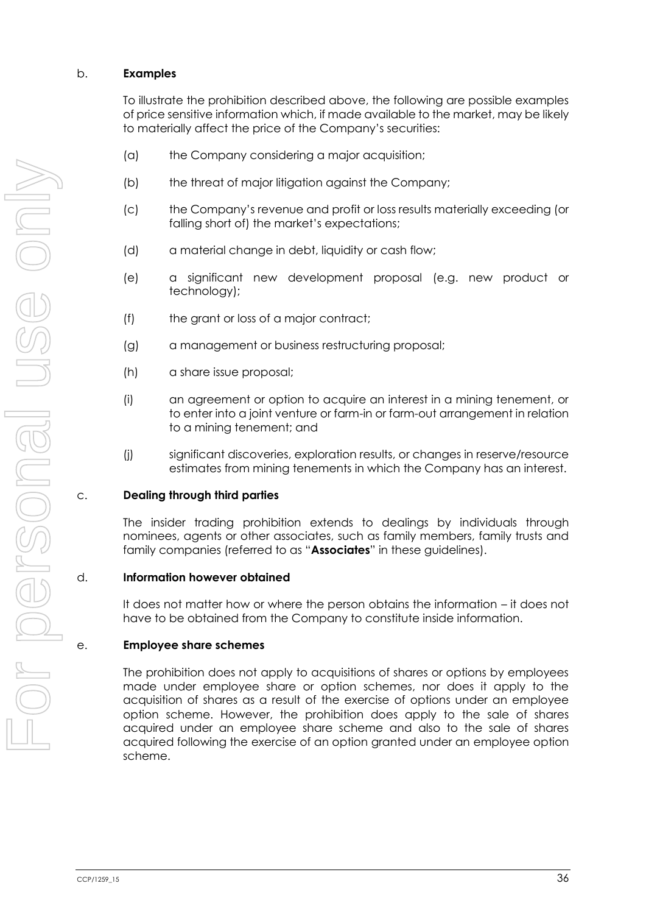#### b. **Examples**

To illustrate the prohibition described above, the following are possible examples of price sensitive information which, if made available to the market, may be likely to materially affect the price of the Company's securities:

- (a) the Company considering a major acquisition;
- (b) the threat of major litigation against the Company;
- (c) the Company's revenue and profit or loss results materially exceeding (or falling short of) the market's expectations;
- (d) a material change in debt, liquidity or cash flow;
- (e) a significant new development proposal (e.g. new product or technology);
- (f) the grant or loss of a major contract;
- (g) a management or business restructuring proposal;
- (h) a share issue proposal;
- (i) an agreement or option to acquire an interest in a mining tenement, or to enter into a joint venture or farm-in or farm-out arrangement in relation to a mining tenement; and
- (j) significant discoveries, exploration results, or changes in reserve/resource estimates from mining tenements in which the Company has an interest.

#### c. **Dealing through third parties**

The insider trading prohibition extends to dealings by individuals through nominees, agents or other associates, such as family members, family trusts and family companies (referred to as "**Associates**" in these guidelines).

#### d. **Information however obtained**

It does not matter how or where the person obtains the information – it does not have to be obtained from the Company to constitute inside information.

#### e. **Employee share schemes**

The prohibition does not apply to acquisitions of shares or options by employees made under employee share or option schemes, nor does it apply to the acquisition of shares as a result of the exercise of options under an employee option scheme. However, the prohibition does apply to the sale of shares acquired under an employee share scheme and also to the sale of shares acquired following the exercise of an option granted under an employee option scheme.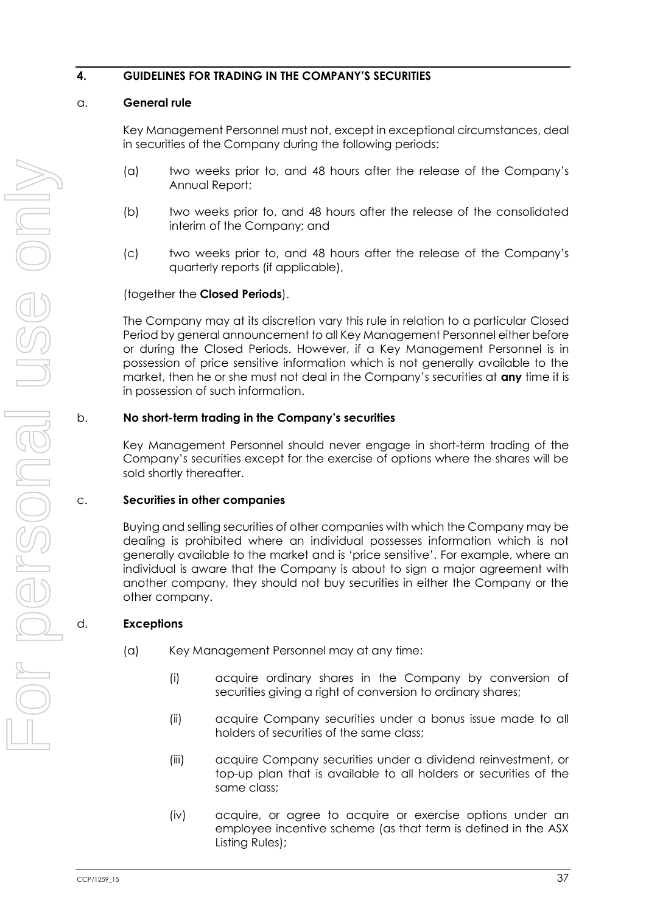## **4. GUIDELINES FOR TRADING IN THE COMPANY'S SECURITIES**

#### <span id="page-2-0"></span>a. **General rule**

Key Management Personnel must not, except in exceptional circumstances, deal in securities of the Company during the following periods:

- (a) two weeks prior to, and 48 hours after the release of the Company's Annual Report;
- (b) two weeks prior to, and 48 hours after the release of the consolidated interim of the Company; and
- (c) two weeks prior to, and 48 hours after the release of the Company's quarterly reports (if applicable),

#### (together the **Closed Periods**).

The Company may at its discretion vary this rule in relation to a particular Closed Period by general announcement to all Key Management Personnel either before or during the Closed Periods. However, if a Key Management Personnel is in possession of price sensitive information which is not generally available to the market, then he or she must not deal in the Company's securities at **any** time it is in possession of such information.

#### b. **No short-term trading in the Company's securities**

Key Management Personnel should never engage in short-term trading of the Company's securities except for the exercise of options where the shares will be sold shortly thereafter.

#### c. **Securities in other companies**

Buying and selling securities of other companies with which the Company may be dealing is prohibited where an individual possesses information which is not generally available to the market and is 'price sensitive'. For example, where an individual is aware that the Company is about to sign a major agreement with another company, they should not buy securities in either the Company or the other company.

#### d. **Exceptions**

- (a) Key Management Personnel may at any time:
	- (i) acquire ordinary shares in the Company by conversion of securities giving a right of conversion to ordinary shares;
	- (ii) acquire Company securities under a bonus issue made to all holders of securities of the same class;
	- (iii) acquire Company securities under a dividend reinvestment, or top-up plan that is available to all holders or securities of the same class;
	- (iv) acquire, or agree to acquire or exercise options under an employee incentive scheme (as that term is defined in the ASX Listing Rules);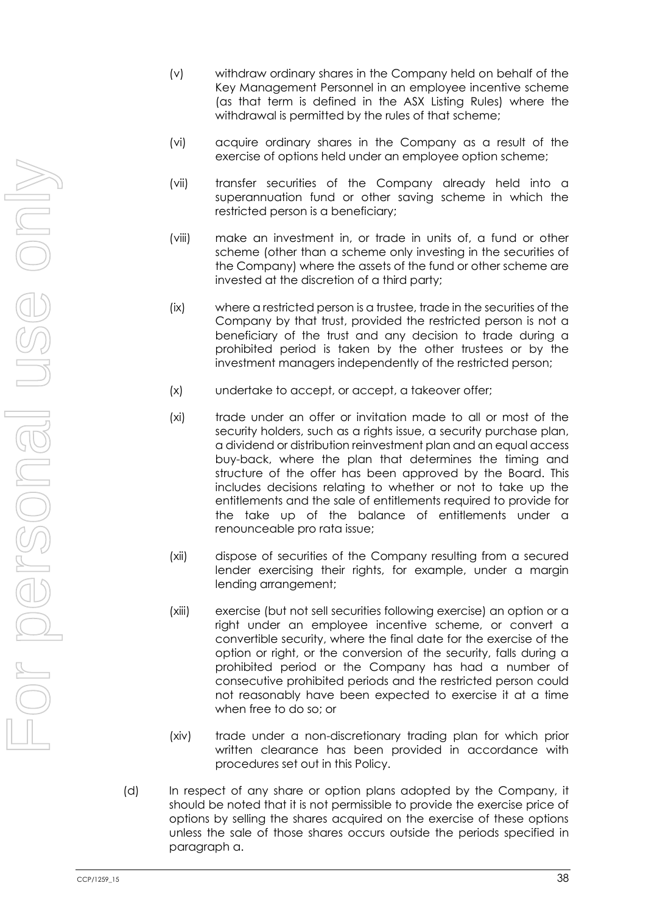- (v) withdraw ordinary shares in the Company held on behalf of the Key Management Personnel in an employee incentive scheme (as that term is defined in the ASX Listing Rules) where the withdrawal is permitted by the rules of that scheme;
- (vi) acquire ordinary shares in the Company as a result of the exercise of options held under an employee option scheme;
- (vii) transfer securities of the Company already held into a superannuation fund or other saving scheme in which the restricted person is a beneficiary;
- (viii) make an investment in, or trade in units of, a fund or other scheme (other than a scheme only investing in the securities of the Company) where the assets of the fund or other scheme are invested at the discretion of a third party;
- (ix) where a restricted person is a trustee, trade in the securities of the Company by that trust, provided the restricted person is not a beneficiary of the trust and any decision to trade during a prohibited period is taken by the other trustees or by the investment managers independently of the restricted person;
- (x) undertake to accept, or accept, a takeover offer;
- (xi) trade under an offer or invitation made to all or most of the security holders, such as a rights issue, a security purchase plan, a dividend or distribution reinvestment plan and an equal access buy-back, where the plan that determines the timing and structure of the offer has been approved by the Board. This includes decisions relating to whether or not to take up the entitlements and the sale of entitlements required to provide for the take up of the balance of entitlements under a renounceable pro rata issue;
- (xii) dispose of securities of the Company resulting from a secured lender exercising their rights, for example, under a margin lending arrangement;
- (xiii) exercise (but not sell securities following exercise) an option or a right under an employee incentive scheme, or convert a convertible security, where the final date for the exercise of the option or right, or the conversion of the security, falls during a prohibited period or the Company has had a number of consecutive prohibited periods and the restricted person could not reasonably have been expected to exercise it at a time when free to do so; or
- (xiv) trade under a non-discretionary trading plan for which prior written clearance has been provided in accordance with procedures set out in this Policy.
- (d) In respect of any share or option plans adopted by the Company, it should be noted that it is not permissible to provide the exercise price of options by selling the shares acquired on the exercise of these options unless the sale of those shares occurs outside the periods specified in paragraph [a.](#page-2-0)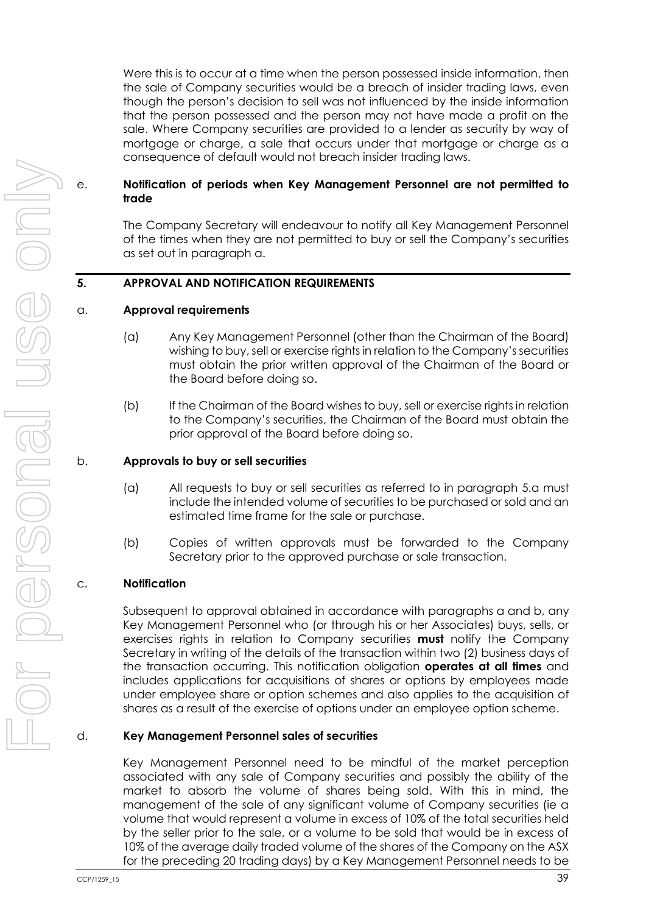Were this is to occur at a time when the person possessed inside information, then the sale of Company securities would be a breach of insider trading laws, even though the person's decision to sell was not influenced by the inside information that the person possessed and the person may not have made a profit on the sale. Where Company securities are provided to a lender as security by way of mortgage or charge, a sale that occurs under that mortgage or charge as a consequence of default would not breach insider trading laws.

#### e. **Notification of periods when Key Management Personnel are not permitted to trade**

The Company Secretary will endeavour to notify all Key Management Personnel of the times when they are not permitted to buy or sell the Company's securities as set out in paragraph [a.](#page-2-0)

## **5. APPROVAL AND NOTIFICATION REQUIREMENTS**

#### <span id="page-4-0"></span>a. **Approval requirements**

- (a) Any Key Management Personnel (other than the Chairman of the Board) wishing to buy, sell or exercise rights in relation to the Company's securities must obtain the prior written approval of the Chairman of the Board or the Board before doing so.
- (b) If the Chairman of the Board wishes to buy, sell or exercise rights in relation to the Company's securities, the Chairman of the Board must obtain the prior approval of the Board before doing so.

#### <span id="page-4-1"></span>b. **Approvals to buy or sell securities**

- (a) All requests to buy or sell securities as referred to in paragraph [5.a](#page-4-0) must include the intended volume of securities to be purchased or sold and an estimated time frame for the sale or purchase.
- (b) Copies of written approvals must be forwarded to the Company Secretary prior to the approved purchase or sale transaction.

#### c. **Notification**

Subsequent to approval obtained in accordance with paragraphs [a](#page-4-0) and [b,](#page-4-1) any Key Management Personnel who (or through his or her Associates) buys, sells, or exercises rights in relation to Company securities **must** notify the Company Secretary in writing of the details of the transaction within two (2) business days of the transaction occurring. This notification obligation **operates at all times** and includes applications for acquisitions of shares or options by employees made under employee share or option schemes and also applies to the acquisition of shares as a result of the exercise of options under an employee option scheme.

#### d. **Key Management Personnel sales of securities**

Key Management Personnel need to be mindful of the market perception associated with any sale of Company securities and possibly the ability of the market to absorb the volume of shares being sold. With this in mind, the management of the sale of any significant volume of Company securities (ie a volume that would represent a volume in excess of 10% of the total securities held by the seller prior to the sale, or a volume to be sold that would be in excess of 10% of the average daily traded volume of the shares of the Company on the ASX for the preceding 20 trading days) by a Key Management Personnel needs to be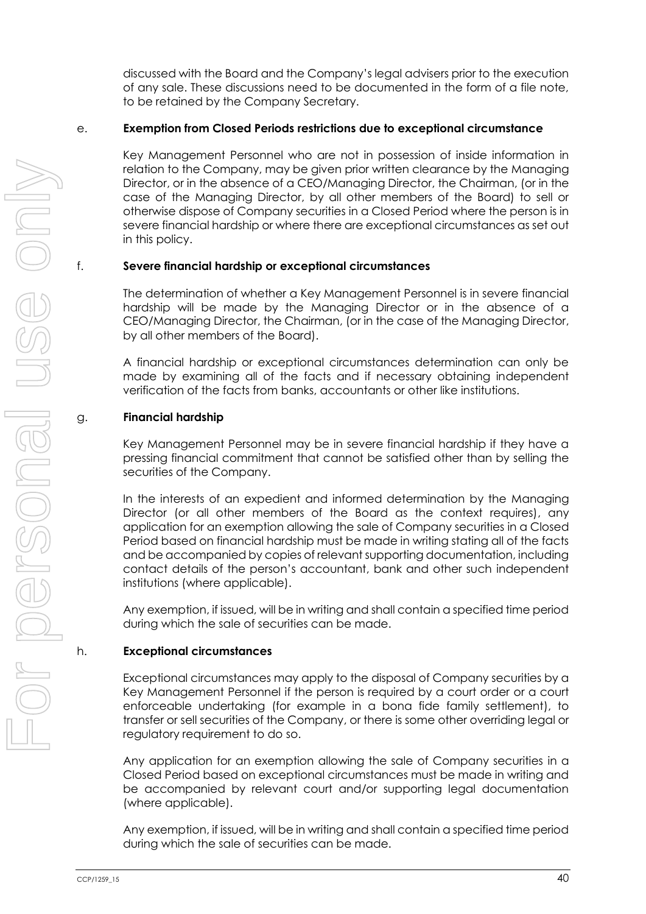discussed with the Board and the Company's legal advisers prior to the execution of any sale. These discussions need to be documented in the form of a file note, to be retained by the Company Secretary.

#### e. **Exemption from Closed Periods restrictions due to exceptional circumstance**

Key Management Personnel who are not in possession of inside information in relation to the Company, may be given prior written clearance by the Managing Director, or in the absence of a CEO/Managing Director, the Chairman, (or in the case of the Managing Director, by all other members of the Board) to sell or otherwise dispose of Company securities in a Closed Period where the person is in severe financial hardship or where there are exceptional circumstances as set out in this policy.

## f. **Severe financial hardship or exceptional circumstances**

The determination of whether a Key Management Personnel is in severe financial hardship will be made by the Managing Director or in the absence of a CEO/Managing Director, the Chairman, (or in the case of the Managing Director, by all other members of the Board).

A financial hardship or exceptional circumstances determination can only be made by examining all of the facts and if necessary obtaining independent verification of the facts from banks, accountants or other like institutions.

## g. **Financial hardship**

Key Management Personnel may be in severe financial hardship if they have a pressing financial commitment that cannot be satisfied other than by selling the securities of the Company.

In the interests of an expedient and informed determination by the Managing Director (or all other members of the Board as the context requires), any application for an exemption allowing the sale of Company securities in a Closed Period based on financial hardship must be made in writing stating all of the facts and be accompanied by copies of relevant supporting documentation, including contact details of the person's accountant, bank and other such independent institutions (where applicable).

Any exemption, if issued, will be in writing and shall contain a specified time period during which the sale of securities can be made.

#### h. **Exceptional circumstances**

Exceptional circumstances may apply to the disposal of Company securities by a Key Management Personnel if the person is required by a court order or a court enforceable undertaking (for example in a bona fide family settlement), to transfer or sell securities of the Company, or there is some other overriding legal or regulatory requirement to do so.

Any application for an exemption allowing the sale of Company securities in a Closed Period based on exceptional circumstances must be made in writing and be accompanied by relevant court and/or supporting legal documentation (where applicable).

Any exemption, if issued, will be in writing and shall contain a specified time period during which the sale of securities can be made.